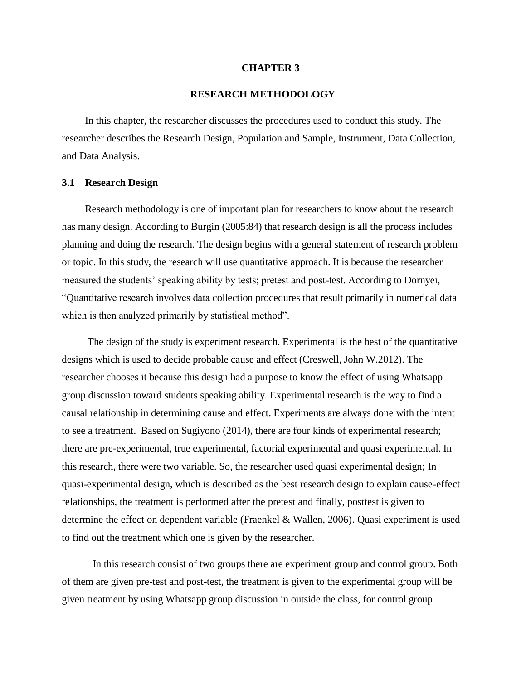#### **CHAPTER 3**

# **RESEARCH METHODOLOGY**

In this chapter, the researcher discusses the procedures used to conduct this study. The researcher describes the Research Design, Population and Sample, Instrument, Data Collection, and Data Analysis.

### **3.1 Research Design**

Research methodology is one of important plan for researchers to know about the research has many design. According to Burgin (2005:84) that research design is all the process includes planning and doing the research. The design begins with a general statement of research problem or topic. In this study, the research will use quantitative approach. It is because the researcher measured the students' speaking ability by tests; pretest and post-test. According to Dornyei, "Quantitative research involves data collection procedures that result primarily in numerical data which is then analyzed primarily by statistical method".

The design of the study is experiment research. Experimental is the best of the quantitative designs which is used to decide probable cause and effect (Creswell, John W.2012). The researcher chooses it because this design had a purpose to know the effect of using Whatsapp group discussion toward students speaking ability. Experimental research is the way to find a causal relationship in determining cause and effect. Experiments are always done with the intent to see a treatment. Based on Sugiyono (2014), there are four kinds of experimental research; there are pre-experimental, true experimental, factorial experimental and quasi experimental. In this research, there were two variable. So, the researcher used quasi experimental design; In quasi-experimental design, which is described as the best research design to explain cause-effect relationships, the treatment is performed after the pretest and finally, posttest is given to determine the effect on dependent variable (Fraenkel & Wallen, 2006). Quasi experiment is used to find out the treatment which one is given by the researcher.

In this research consist of two groups there are experiment group and control group. Both of them are given pre-test and post-test, the treatment is given to the experimental group will be given treatment by using Whatsapp group discussion in outside the class, for control group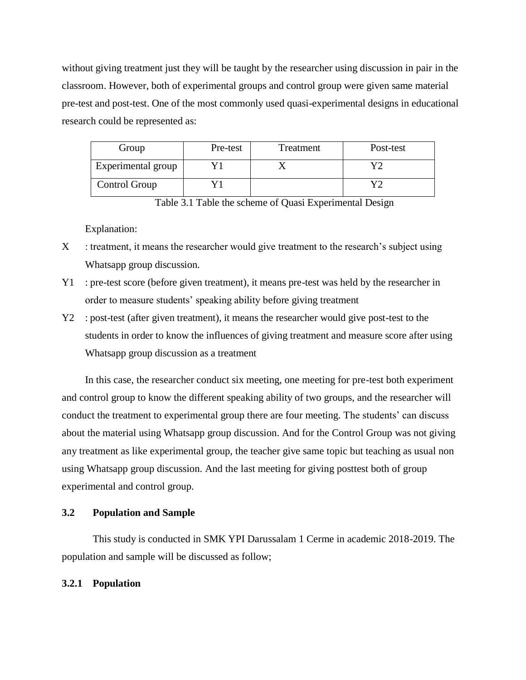without giving treatment just they will be taught by the researcher using discussion in pair in the classroom. However, both of experimental groups and control group were given same material pre-test and post-test. One of the most commonly used quasi-experimental designs in educational research could be represented as:

| Group              | Pre-test | Treatment | Post-test |
|--------------------|----------|-----------|-----------|
| Experimental group |          |           |           |
| Control Group      |          |           |           |

Table 3.1 Table the scheme of Quasi Experimental Design

Explanation:

- $X$ : treatment, it means the researcher would give treatment to the research's subject using Whatsapp group discussion.
- Y1 : pre-test score (before given treatment), it means pre-test was held by the researcher in order to measure students' speaking ability before giving treatment
- Y2 : post-test (after given treatment), it means the researcher would give post-test to the students in order to know the influences of giving treatment and measure score after using Whatsapp group discussion as a treatment

In this case, the researcher conduct six meeting, one meeting for pre-test both experiment and control group to know the different speaking ability of two groups, and the researcher will conduct the treatment to experimental group there are four meeting. The students' can discuss about the material using Whatsapp group discussion. And for the Control Group was not giving any treatment as like experimental group, the teacher give same topic but teaching as usual non using Whatsapp group discussion. And the last meeting for giving posttest both of group experimental and control group.

# **3.2 Population and Sample**

This study is conducted in SMK YPI Darussalam 1 Cerme in academic 2018-2019. The population and sample will be discussed as follow;

# **3.2.1 Population**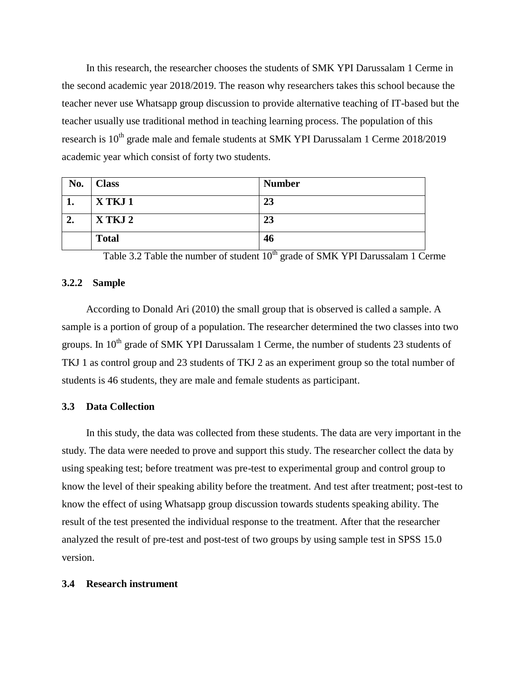In this research, the researcher chooses the students of SMK YPI Darussalam 1 Cerme in the second academic year 2018/2019. The reason why researchers takes this school because the teacher never use Whatsapp group discussion to provide alternative teaching of IT-based but the teacher usually use traditional method in teaching learning process. The population of this research is  $10^{th}$  grade male and female students at SMK YPI Darussalam 1 Cerme 2018/2019 academic year which consist of forty two students.

| No. | <b>Class</b> | <b>Number</b> |
|-----|--------------|---------------|
| ı.  | X TKJ 1      | 23            |
| 2.  | X TKJ 2      | 23            |
|     | <b>Total</b> | 46            |

Table 3.2 Table the number of student  $10^{th}$  grade of SMK YPI Darussalam 1 Cerme

# **3.2.2 Sample**

According to Donald Ari (2010) the small group that is observed is called a sample. A sample is a portion of group of a population. The researcher determined the two classes into two groups. In  $10<sup>th</sup>$  grade of SMK YPI Darussalam 1 Cerme, the number of students 23 students of TKJ 1 as control group and 23 students of TKJ 2 as an experiment group so the total number of students is 46 students, they are male and female students as participant.

# **3.3 Data Collection**

In this study, the data was collected from these students. The data are very important in the study. The data were needed to prove and support this study. The researcher collect the data by using speaking test; before treatment was pre-test to experimental group and control group to know the level of their speaking ability before the treatment. And test after treatment; post-test to know the effect of using Whatsapp group discussion towards students speaking ability. The result of the test presented the individual response to the treatment. After that the researcher analyzed the result of pre-test and post-test of two groups by using sample test in SPSS 15.0 version.

# **3.4 Research instrument**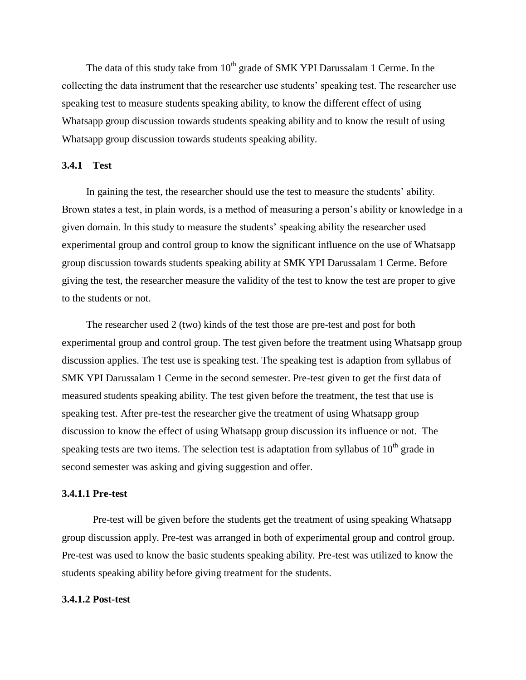The data of this study take from  $10<sup>th</sup>$  grade of SMK YPI Darussalam 1 Cerme. In the collecting the data instrument that the researcher use students' speaking test. The researcher use speaking test to measure students speaking ability, to know the different effect of using Whatsapp group discussion towards students speaking ability and to know the result of using Whatsapp group discussion towards students speaking ability.

## **3.4.1 Test**

In gaining the test, the researcher should use the test to measure the students' ability. Brown states a test, in plain words, is a method of measuring a person's ability or knowledge in a given domain. In this study to measure the students' speaking ability the researcher used experimental group and control group to know the significant influence on the use of Whatsapp group discussion towards students speaking ability at SMK YPI Darussalam 1 Cerme. Before giving the test, the researcher measure the validity of the test to know the test are proper to give to the students or not.

The researcher used 2 (two) kinds of the test those are pre-test and post for both experimental group and control group. The test given before the treatment using Whatsapp group discussion applies. The test use is speaking test. The speaking test is adaption from syllabus of SMK YPI Darussalam 1 Cerme in the second semester. Pre-test given to get the first data of measured students speaking ability. The test given before the treatment, the test that use is speaking test. After pre-test the researcher give the treatment of using Whatsapp group discussion to know the effect of using Whatsapp group discussion its influence or not. The speaking tests are two items. The selection test is adaptation from syllabus of  $10<sup>th</sup>$  grade in second semester was asking and giving suggestion and offer.

#### **3.4.1.1 Pre-test**

Pre-test will be given before the students get the treatment of using speaking Whatsapp group discussion apply. Pre-test was arranged in both of experimental group and control group. Pre-test was used to know the basic students speaking ability. Pre-test was utilized to know the students speaking ability before giving treatment for the students.

## **3.4.1.2 Post-test**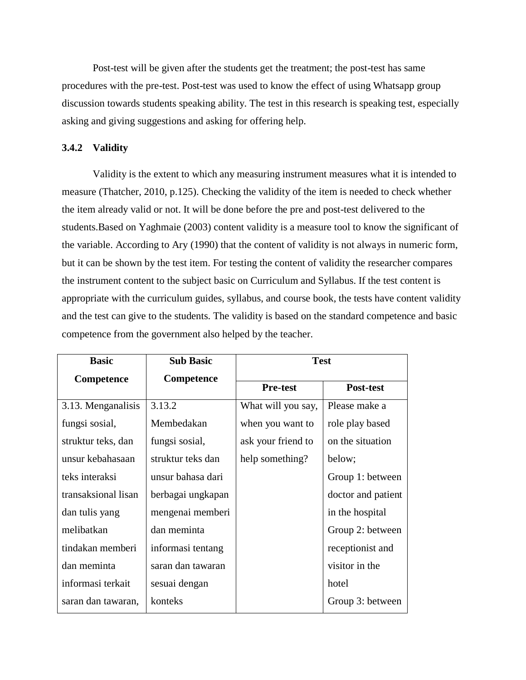Post-test will be given after the students get the treatment; the post-test has same procedures with the pre-test. Post-test was used to know the effect of using Whatsapp group discussion towards students speaking ability. The test in this research is speaking test, especially asking and giving suggestions and asking for offering help.

# **3.4.2 Validity**

Validity is the extent to which any measuring instrument measures what it is intended to measure (Thatcher, 2010, p.125). Checking the validity of the item is needed to check whether the item already valid or not. It will be done before the pre and post-test delivered to the students.Based on Yaghmaie (2003) content validity is a measure tool to know the significant of the variable. According to Ary (1990) that the content of validity is not always in numeric form, but it can be shown by the test item. For testing the content of validity the researcher compares the instrument content to the subject basic on Curriculum and Syllabus. If the test content is appropriate with the curriculum guides, syllabus, and course book, the tests have content validity and the test can give to the students. The validity is based on the standard competence and basic competence from the government also helped by the teacher.

| <b>Basic</b>        | <b>Sub Basic</b>  | <b>Test</b>        |                    |
|---------------------|-------------------|--------------------|--------------------|
| Competence          | Competence        |                    |                    |
|                     |                   | <b>Pre-test</b>    | Post-test          |
| 3.13. Menganalisis  | 3.13.2            | What will you say, | Please make a      |
| fungsi sosial,      | Membedakan        | when you want to   | role play based    |
| struktur teks, dan  | fungsi sosial,    | ask your friend to | on the situation   |
| unsur kebahasaan    | struktur teks dan | help something?    | below;             |
| teks interaksi      | unsur bahasa dari |                    | Group 1: between   |
| transaksional lisan | berbagai ungkapan |                    | doctor and patient |
| dan tulis yang      | mengenai memberi  |                    | in the hospital    |
| melibatkan          | dan meminta       |                    | Group 2: between   |
| tindakan memberi    | informasi tentang |                    | receptionist and   |
| dan meminta         | saran dan tawaran |                    | visitor in the     |
| informasi terkait   | sesuai dengan     |                    | hotel              |
| saran dan tawaran,  | konteks           |                    | Group 3: between   |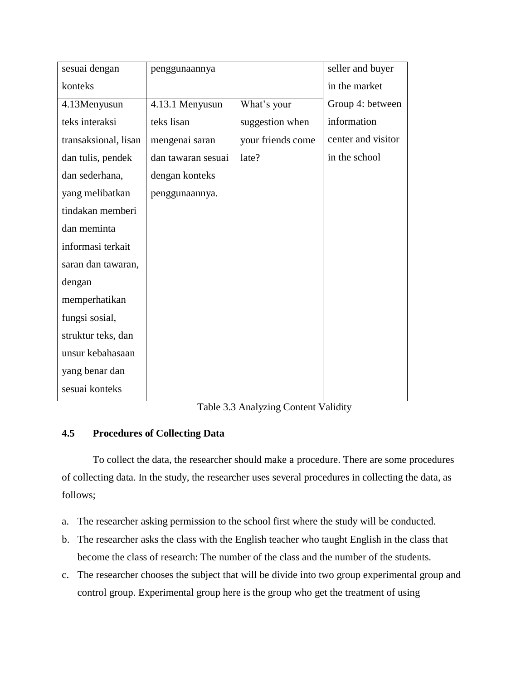| sesuai dengan        | penggunaannya      |                   | seller and buyer   |
|----------------------|--------------------|-------------------|--------------------|
| konteks              |                    |                   | in the market      |
| 4.13Menyusun         | 4.13.1 Menyusun    | What's your       | Group 4: between   |
| teks interaksi       | teks lisan         | suggestion when   | information        |
| transaksional, lisan | mengenai saran     | your friends come | center and visitor |
| dan tulis, pendek    | dan tawaran sesuai | late?             | in the school      |
| dan sederhana,       | dengan konteks     |                   |                    |
| yang melibatkan      | penggunaannya.     |                   |                    |
| tindakan memberi     |                    |                   |                    |
| dan meminta          |                    |                   |                    |
| informasi terkait    |                    |                   |                    |
| saran dan tawaran,   |                    |                   |                    |
| dengan               |                    |                   |                    |
| memperhatikan        |                    |                   |                    |
| fungsi sosial,       |                    |                   |                    |
| struktur teks, dan   |                    |                   |                    |
| unsur kebahasaan     |                    |                   |                    |
| yang benar dan       |                    |                   |                    |
| sesuai konteks       |                    |                   |                    |

Table 3.3 Analyzing Content Validity

# **4.5 Procedures of Collecting Data**

To collect the data, the researcher should make a procedure. There are some procedures of collecting data. In the study, the researcher uses several procedures in collecting the data, as follows;

- a. The researcher asking permission to the school first where the study will be conducted.
- b. The researcher asks the class with the English teacher who taught English in the class that become the class of research: The number of the class and the number of the students.
- c. The researcher chooses the subject that will be divide into two group experimental group and control group. Experimental group here is the group who get the treatment of using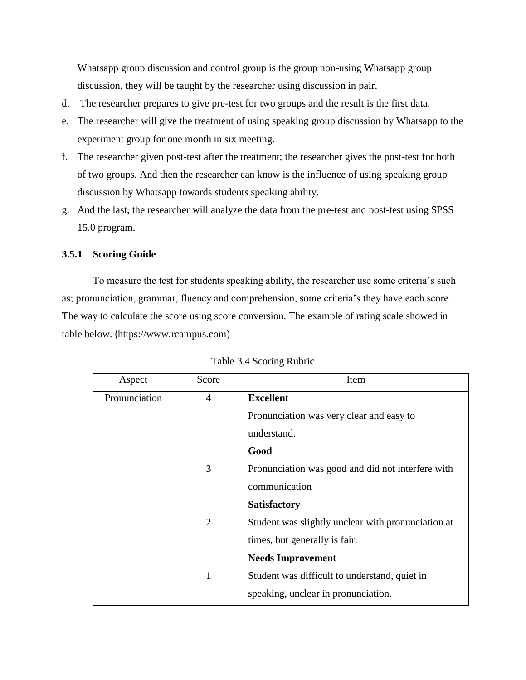Whatsapp group discussion and control group is the group non-using Whatsapp group discussion, they will be taught by the researcher using discussion in pair.

- d. The researcher prepares to give pre-test for two groups and the result is the first data.
- e. The researcher will give the treatment of using speaking group discussion by Whatsapp to the experiment group for one month in six meeting.
- f. The researcher given post-test after the treatment; the researcher gives the post-test for both of two groups. And then the researcher can know is the influence of using speaking group discussion by Whatsapp towards students speaking ability.
- g. And the last, the researcher will analyze the data from the pre-test and post-test using SPSS 15.0 program.

## **3.5.1 Scoring Guide**

To measure the test for students speaking ability, the researcher use some criteria's such as; pronunciation, grammar, fluency and comprehension, some criteria's they have each score. The way to calculate the score using score conversion. The example of rating scale showed in table below. (https://www.rcampus.com)

| Aspect        | Score | Item                                               |
|---------------|-------|----------------------------------------------------|
| Pronunciation | 4     | <b>Excellent</b>                                   |
|               |       | Pronunciation was very clear and easy to           |
|               |       | understand.                                        |
|               |       | Good                                               |
|               | 3     | Pronunciation was good and did not interfere with  |
|               |       | communication                                      |
|               |       | <b>Satisfactory</b>                                |
|               | 2     | Student was slightly unclear with pronunciation at |
|               |       | times, but generally is fair.                      |
|               |       | <b>Needs Improvement</b>                           |
|               | 1     | Student was difficult to understand, quiet in      |
|               |       | speaking, unclear in pronunciation.                |

|  |  | Table 3.4 Scoring Rubric |  |
|--|--|--------------------------|--|
|--|--|--------------------------|--|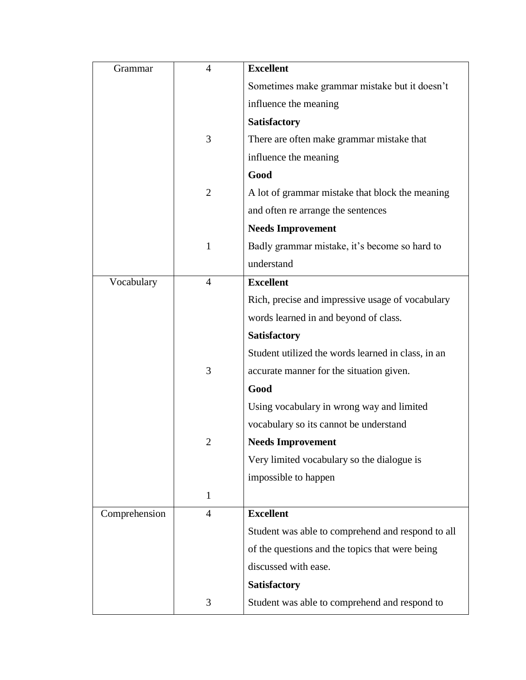| Grammar       | $\overline{4}$ | <b>Excellent</b>                                   |
|---------------|----------------|----------------------------------------------------|
|               |                | Sometimes make grammar mistake but it doesn't      |
|               |                | influence the meaning                              |
|               |                | <b>Satisfactory</b>                                |
|               | 3              | There are often make grammar mistake that          |
|               |                | influence the meaning                              |
|               |                | Good                                               |
|               | $\overline{2}$ | A lot of grammar mistake that block the meaning    |
|               |                | and often re arrange the sentences                 |
|               |                | <b>Needs Improvement</b>                           |
|               | 1              | Badly grammar mistake, it's become so hard to      |
|               |                | understand                                         |
| Vocabulary    | $\overline{4}$ | <b>Excellent</b>                                   |
|               |                | Rich, precise and impressive usage of vocabulary   |
|               |                | words learned in and beyond of class.              |
|               |                | <b>Satisfactory</b>                                |
|               |                | Student utilized the words learned in class, in an |
|               | 3              | accurate manner for the situation given.           |
|               |                | Good                                               |
|               |                | Using vocabulary in wrong way and limited          |
|               |                | vocabulary so its cannot be understand             |
|               | 2              | <b>Needs Improvement</b>                           |
|               |                | Very limited vocabulary so the dialogue is         |
|               |                | impossible to happen                               |
|               | $\mathbf{1}$   |                                                    |
| Comprehension | $\overline{4}$ | <b>Excellent</b>                                   |
|               |                | Student was able to comprehend and respond to all  |
|               |                | of the questions and the topics that were being    |
|               |                | discussed with ease.                               |
|               |                | Satisfactory                                       |
|               | 3              | Student was able to comprehend and respond to      |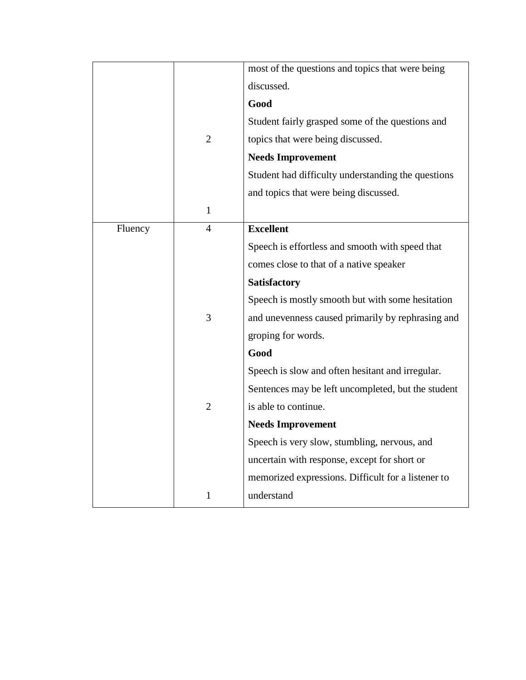|         |                | most of the questions and topics that were being   |
|---------|----------------|----------------------------------------------------|
|         |                |                                                    |
|         |                | discussed.                                         |
|         |                | Good                                               |
|         |                | Student fairly grasped some of the questions and   |
|         | $\overline{2}$ | topics that were being discussed.                  |
|         |                | <b>Needs Improvement</b>                           |
|         |                | Student had difficulty understanding the questions |
|         |                | and topics that were being discussed.              |
|         | $\mathbf{1}$   |                                                    |
| Fluency | $\overline{4}$ | <b>Excellent</b>                                   |
|         |                | Speech is effortless and smooth with speed that    |
|         |                | comes close to that of a native speaker            |
|         |                | Satisfactory                                       |
|         |                | Speech is mostly smooth but with some hesitation   |
|         | 3              | and unevenness caused primarily by rephrasing and  |
|         |                | groping for words.                                 |
|         |                | Good                                               |
|         |                | Speech is slow and often hesitant and irregular.   |
|         |                | Sentences may be left uncompleted, but the student |
|         | $\overline{2}$ | is able to continue.                               |
|         |                | <b>Needs Improvement</b>                           |
|         |                | Speech is very slow, stumbling, nervous, and       |
|         |                | uncertain with response, except for short or       |
|         |                | memorized expressions. Difficult for a listener to |
|         | $\mathbf{1}$   | understand                                         |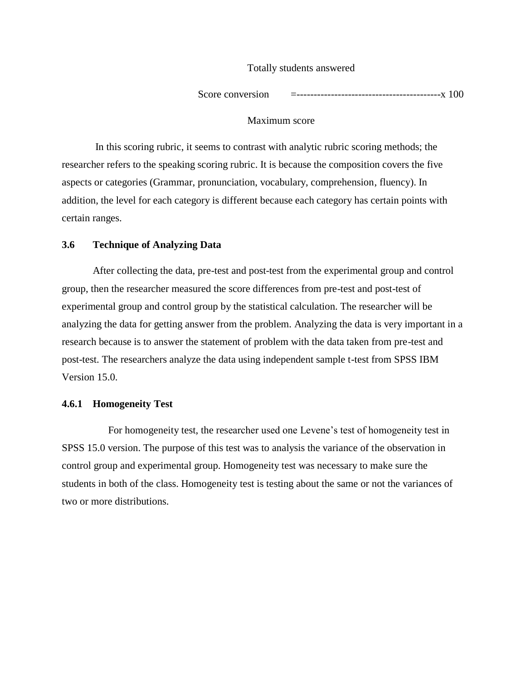#### Totally students answered

Score conversion =------------------------------------------x 100

#### Maximum score

In this scoring rubric, it seems to contrast with analytic rubric scoring methods; the researcher refers to the speaking scoring rubric. It is because the composition covers the five aspects or categories (Grammar, pronunciation, vocabulary, comprehension, fluency). In addition, the level for each category is different because each category has certain points with certain ranges.

#### **3.6 Technique of Analyzing Data**

After collecting the data, pre-test and post-test from the experimental group and control group, then the researcher measured the score differences from pre-test and post-test of experimental group and control group by the statistical calculation. The researcher will be analyzing the data for getting answer from the problem. Analyzing the data is very important in a research because is to answer the statement of problem with the data taken from pre-test and post-test. The researchers analyze the data using independent sample t-test from SPSS IBM Version 15.0.

#### **4.6.1 Homogeneity Test**

For homogeneity test, the researcher used one Levene's test of homogeneity test in SPSS 15.0 version. The purpose of this test was to analysis the variance of the observation in control group and experimental group. Homogeneity test was necessary to make sure the students in both of the class. Homogeneity test is testing about the same or not the variances of two or more distributions.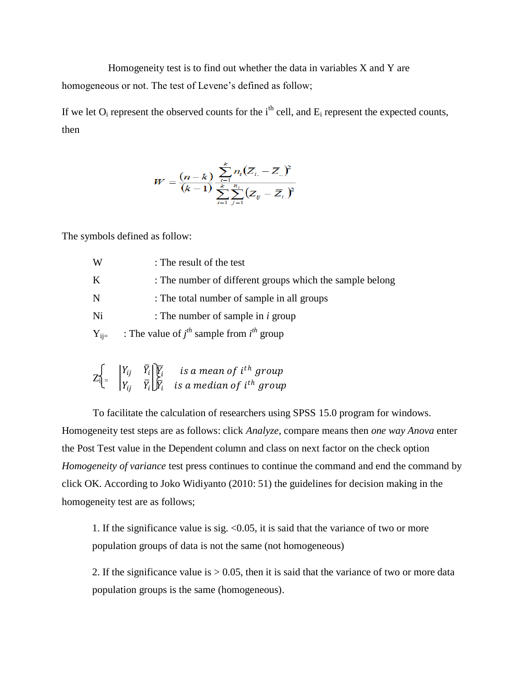Homogeneity test is to find out whether the data in variables X and Y are homogeneous or not. The test of Levene's defined as follow;

If we let  $O_i$  represent the observed counts for the i<sup>th</sup> cell, and  $E_i$  represent the expected counts, then

$$
W = \frac{(n-k)}{(k-1)} \sum_{i=1}^{k} \frac{n_i (\overline{Z}_{i.} - \overline{Z}_{..})^2}{\sum_{i=1}^{k} \sum_{j=1}^{n_i} (Z_{ij} - \overline{Z}_{i.})^2}
$$

The symbols defined as follow:

| W         | : The result of the test                                 |
|-----------|----------------------------------------------------------|
| K         | : The number of different groups which the sample belong |
| N         | : The total number of sample in all groups               |
| Ni        | : The number of sample in $i$ group                      |
| $Y_{ii=}$ | : The value of $j^{th}$ sample from $i^{th}$ group       |

|  | $Z_{i}$ <sub><math>\begin{bmatrix} Y_{ij} &amp; \bar{Y}_i \\ Y_{ij} &amp; \bar{Y}_i \end{bmatrix}</math><math>\begin{bmatrix} \overline{Y}_i &amp; \text{is a mean of } i^{th} \text{ group} \\ \overline{Y}_i &amp; \overline{Y}_i \end{bmatrix}</math> is a median of <math>i^{th}</math> group</sub> |
|--|---------------------------------------------------------------------------------------------------------------------------------------------------------------------------------------------------------------------------------------------------------------------------------------------------------|
|  |                                                                                                                                                                                                                                                                                                         |

To facilitate the calculation of researchers using SPSS 15.0 program for windows. Homogeneity test steps are as follows: click *Analyze*, compare means then *one way Anova* enter the Post Test value in the Dependent column and class on next factor on the check option *Homogeneity of variance* test press continues to continue the command and end the command by click OK. According to Joko Widiyanto (2010: 51) the guidelines for decision making in the homogeneity test are as follows;

1. If the significance value is sig.  $\langle 0.05 \rangle$ , it is said that the variance of two or more population groups of data is not the same (not homogeneous)

2. If the significance value is  $> 0.05$ , then it is said that the variance of two or more data population groups is the same (homogeneous).